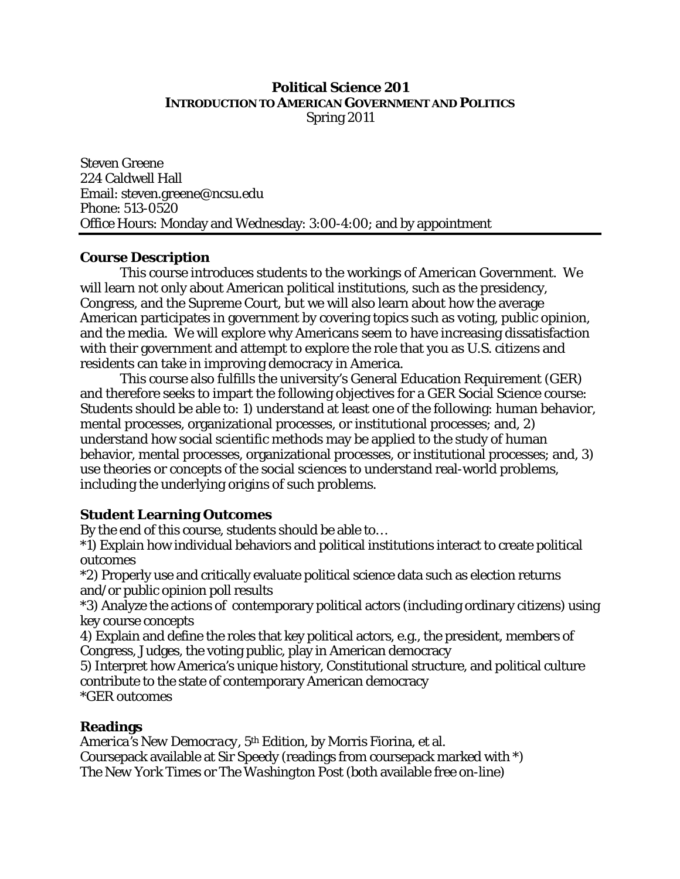## **Political Science 201 INTRODUCTION TO AMERICAN GOVERNMENT AND POLITICS** Spring 2011

Steven Greene 224 Caldwell Hall Email: steven.greene@ncsu.edu Phone: 513-0520 Office Hours: Monday and Wednesday: 3:00-4:00; and by appointment

### **Course Description**

This course introduces students to the workings of American Government. We will learn not only about American political institutions, such as the presidency, Congress, and the Supreme Court, but we will also learn about how the average American participates in government by covering topics such as voting, public opinion, and the media. We will explore why Americans seem to have increasing dissatisfaction with their government and attempt to explore the role that you as U.S. citizens and residents can take in improving democracy in America.

This course also fulfills the university's General Education Requirement (GER) and therefore seeks to impart the following objectives for a GER Social Science course: Students should be able to: 1) understand at least one of the following: human behavior, mental processes, organizational processes, or institutional processes; and, 2) understand how social scientific methods may be applied to the study of human behavior, mental processes, organizational processes, or institutional processes; and, 3) use theories or concepts of the social sciences to understand real-world problems, including the underlying origins of such problems.

# **Student Learning Outcomes**

By the end of this course, students should be able to…

\*1) Explain how individual behaviors and political institutions interact to create political outcomes

\*2) Properly use and critically evaluate political science data such as election returns and/or public opinion poll results

\*3) Analyze the actions of contemporary political actors (including ordinary citizens) using key course concepts

4) Explain and define the roles that key political actors, e.g., the president, members of Congress, Judges, the voting public, play in American democracy

5) Interpret how America's unique history, Constitutional structure, and political culture contribute to the state of contemporary American democracy \*GER outcomes

# **Readings**

*America's New Democracy, 5th Edition*, by Morris Fiorina, et al. Coursepack available at Sir Speedy (readings from coursepack marked with \*) *The New York Times* or *The Washington Post* (both available free on-line)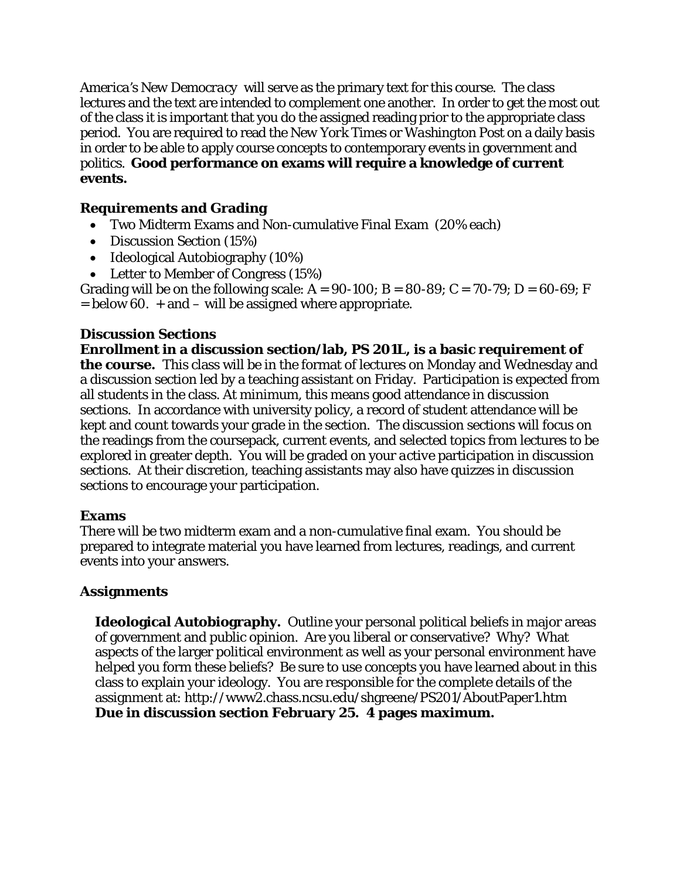*America's New Democracy* will serve as the primary text for this course. The class lectures and the text are intended to complement one another. In order to get the most out of the class it is important that you do the assigned reading prior to the appropriate class period. You are required to read the *New York Times* or *Washington Post* on a daily basis in order to be able to apply course concepts to contemporary events in government and politics. **Good performance on exams will require a knowledge of current events.**

# **Requirements and Grading**

- Two Midterm Exams and Non-cumulative Final Exam (20% each)
- Discussion Section (15%)
- Ideological Autobiography (10%)
- Letter to Member of Congress (15%)

Grading will be on the following scale:  $A = 90-100$ ;  $B = 80-89$ ;  $C = 70-79$ ;  $D = 60-69$ ; F  $=$  below 60.  $+$  and  $-$  will be assigned where appropriate.

## **Discussion Sections**

**Enrollment in a discussion section/lab, PS 201L, is a basic requirement of the course.** This class will be in the format of lectures on Monday and Wednesday and a discussion section led by a teaching assistant on Friday. Participation is expected from all students in the class. At minimum, this means good attendance in discussion sections. In accordance with university policy, a record of student attendance will be kept and count towards your grade in the section. The discussion sections will focus on the readings from the coursepack, current events, and selected topics from lectures to be explored in greater depth. You will be graded on your *active* participation in discussion sections. At their discretion, teaching assistants may also have quizzes in discussion sections to encourage your participation.

### **Exams**

There will be two midterm exam and a non-cumulative final exam. You should be prepared to integrate material you have learned from lectures, readings, and current events into your answers.

# **Assignments**

**Ideological Autobiography.** Outline your personal political beliefs in major areas of government and public opinion. Are you liberal or conservative? Why? What aspects of the larger political environment as well as your personal environment have helped you form these beliefs? Be sure to use concepts you have learned about in this class to explain your ideology. You are responsible for the complete details of the assignment at: http://www2.chass.ncsu.edu/shgreene/PS201/AboutPaper1.htm **Due in discussion section February 25. 4 pages maximum.**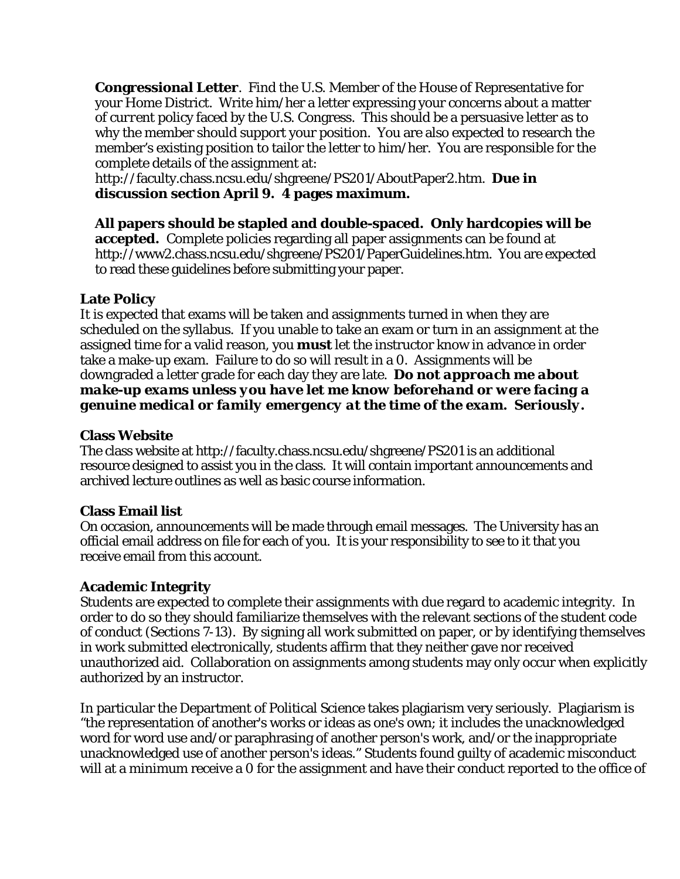**Congressional Letter**. Find the U.S. Member of the House of Representative for your Home District. Write him/her a letter expressing your concerns about a matter of *current* policy faced by the U.S. Congress. This should be a persuasive letter as to why the member should support your position. You are also expected to research the member's existing position to tailor the letter to him/her. You are responsible for the complete details of the assignment at:

http://faculty.chass.ncsu.edu/shgreene/PS201/AboutPaper2.htm. **Due in discussion section April 9. 4 pages maximum.** 

**All papers should be stapled and double-spaced. Only hardcopies will be accepted.** Complete policies regarding all paper assignments can be found at http://www2.chass.ncsu.edu/shgreene/PS201/PaperGuidelines.htm. You are expected to read these guidelines before submitting your paper.

# **Late Policy**

It is expected that exams will be taken and assignments turned in when they are scheduled on the syllabus. If you unable to take an exam or turn in an assignment at the assigned time for a valid reason, you **must** let the instructor know in advance in order take a make-up exam. Failure to do so will result in a 0. Assignments will be downgraded a letter grade for each day they are late. *Do not approach me about make-up exams unless you have let me know beforehand or were facing a genuine medical or family emergency at the time of the exam. Seriously.* 

## **Class Website**

The class website at http://faculty.chass.ncsu.edu/shgreene/PS201 is an additional resource designed to assist you in the class. It will contain important announcements and archived lecture outlines as well as basic course information.

### **Class Email list**

On occasion, announcements will be made through email messages. The University has an official email address on file for each of you. It is your responsibility to see to it that you receive email from this account.

### **Academic Integrity**

Students are expected to complete their assignments with due regard to academic integrity. In order to do so they should familiarize themselves with the relevant sections of the student code of conduct (Sections 7-13). By signing all work submitted on paper, or by identifying themselves in work submitted electronically, students affirm that they neither gave nor received unauthorized aid. Collaboration on assignments among students may only occur when explicitly authorized by an instructor.

In particular the Department of Political Science takes plagiarism very seriously. Plagiarism is "the representation of another's works or ideas as one's own; it includes the unacknowledged word for word use and/or paraphrasing of another person's work, and/or the inappropriate unacknowledged use of another person's ideas." Students found guilty of academic misconduct will at a minimum receive a 0 for the assignment and have their conduct reported to the office of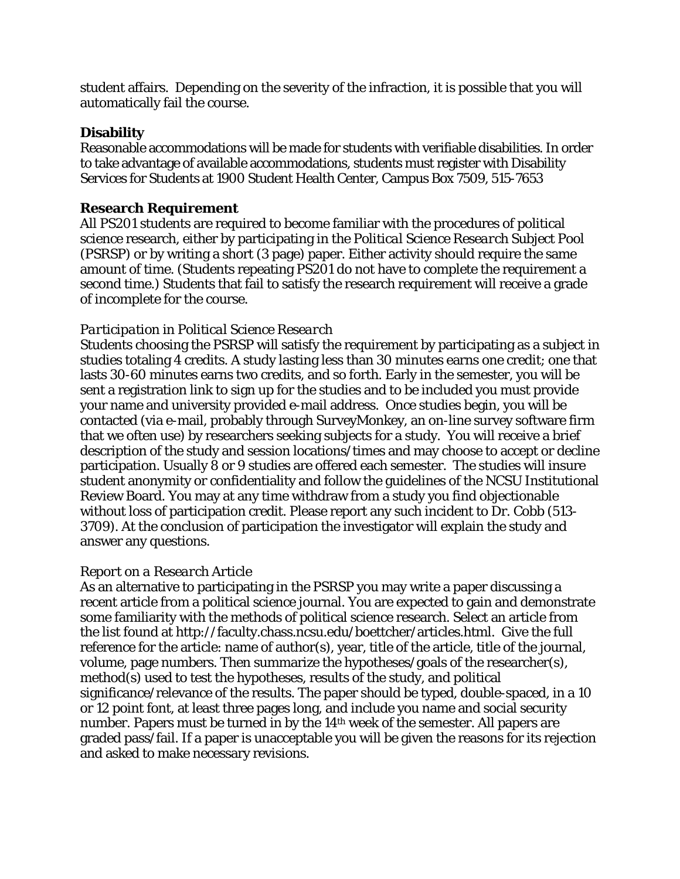student affairs. Depending on the severity of the infraction, it is possible that you will automatically fail the course.

## **Disability**

Reasonable accommodations will be made for students with verifiable disabilities. In order to take advantage of available accommodations, students must register with Disability Services for Students at 1900 Student Health Center, Campus Box 7509, 515-7653

## **Research Requirement**

All PS201 students are required to become familiar with the procedures of political science research, either by participating in the *Political Science Research Subject Pool* (PSRSP) or by writing a short (3 page) paper. Either activity should require the same amount of time. (Students repeating PS201 do not have to complete the requirement a second time.) Students that fail to satisfy the research requirement will receive a grade of incomplete for the course.

## *Participation in Political Science Research*

Students choosing the PSRSP will satisfy the requirement by participating as a subject in studies totaling 4 credits. A study lasting less than 30 minutes earns one credit; one that lasts 30-60 minutes earns two credits, and so forth. Early in the semester, you will be sent a registration link to sign up for the studies and to be included you must provide your name and university provided e-mail address. Once studies begin, you will be contacted (via e-mail, probably through SurveyMonkey, an on-line survey software firm that we often use) by researchers seeking subjects for a study. You will receive a brief description of the study and session locations/times and may choose to accept or decline participation. Usually 8 or 9 studies are offered each semester. The studies will insure student anonymity or confidentiality and follow the guidelines of the NCSU Institutional Review Board. You may at any time withdraw from a study you find objectionable without loss of participation credit. Please report any such incident to Dr. Cobb (513- 3709). At the conclusion of participation the investigator will explain the study and answer any questions.

### *Report on a Research Article*

As an alternative to participating in the PSRSP you may write a paper discussing a recent article from a political science journal. You are expected to gain and demonstrate some familiarity with the methods of political science research. Select an article from the list found at http://faculty.chass.ncsu.edu/boettcher/articles.html. Give the full reference for the article: name of author(s), year, title of the article, title of the journal, volume, page numbers. Then summarize the hypotheses/goals of the researcher(s), method(s) used to test the hypotheses, results of the study, and political significance/relevance of the results. The paper should be typed, double-spaced, in a 10 or 12 point font, at least three pages long, and include you name and social security number. Papers must be turned in by the 14th week of the semester. All papers are graded pass/fail. If a paper is unacceptable you will be given the reasons for its rejection and asked to make necessary revisions.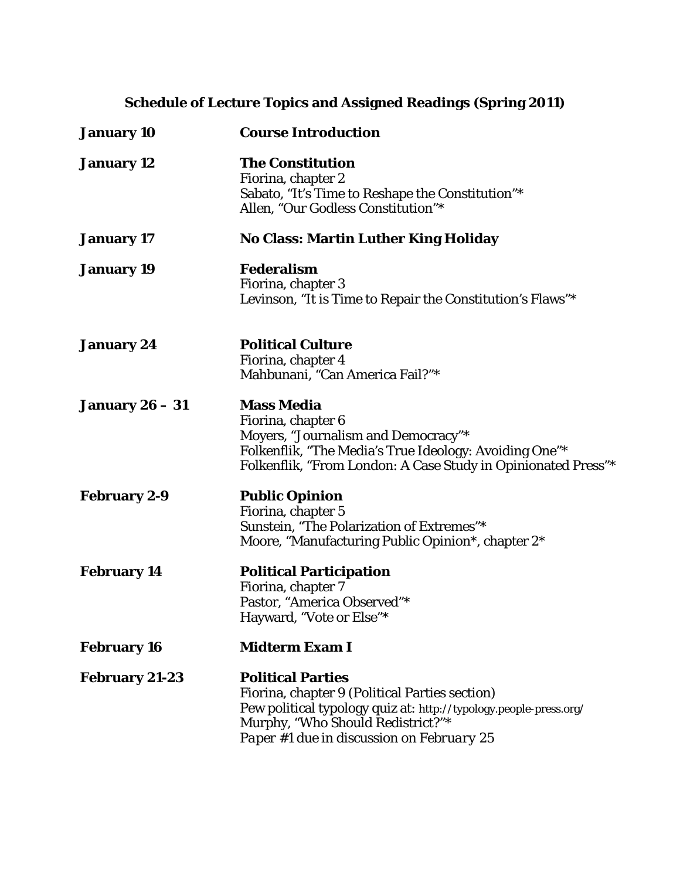# **Schedule of Lecture Topics and Assigned Readings (Spring 2011)**

| <b>January 10</b>      | <b>Course Introduction</b>                                                                                                                                                                                                        |
|------------------------|-----------------------------------------------------------------------------------------------------------------------------------------------------------------------------------------------------------------------------------|
| <b>January 12</b>      | <b>The Constitution</b><br>Fiorina, chapter 2<br>Sabato, "It's Time to Reshape the Constitution"*<br>Allen, "Our Godless Constitution"*                                                                                           |
| <b>January 17</b>      | <b>No Class: Martin Luther King Holiday</b>                                                                                                                                                                                       |
| <b>January 19</b>      | <b>Federalism</b><br>Fiorina, chapter 3<br>Levinson, "It is Time to Repair the Constitution's Flaws"*                                                                                                                             |
| <b>January 24</b>      | <b>Political Culture</b><br>Fiorina, chapter 4<br>Mahbunani, "Can America Fail?"*                                                                                                                                                 |
| <b>January 26 – 31</b> | <b>Mass Media</b><br>Fiorina, chapter 6<br>Moyers, "Journalism and Democracy"*<br>Folkenflik, "The Media's True Ideology: Avoiding One"*<br>Folkenflik, "From London: A Case Study in Opinionated Press"*                         |
| <b>February 2-9</b>    | <b>Public Opinion</b><br>Fiorina, chapter 5<br>Sunstein, "The Polarization of Extremes"*<br>Moore, "Manufacturing Public Opinion*, chapter 2*                                                                                     |
| <b>February 14</b>     | <b>Political Participation</b><br>Fiorina, chapter 7<br>Pastor, "America Observed"*<br>Hayward, "Vote or Else"*                                                                                                                   |
| <b>February 16</b>     | <b>Midterm Exam I</b>                                                                                                                                                                                                             |
| <b>February 21-23</b>  | <b>Political Parties</b><br>Fiorina, chapter 9 (Political Parties section)<br>Pew political typology quiz at: http://typology.people-press.org/<br>Murphy, "Who Should Redistrict?"*<br>Paper #1 due in discussion on February 25 |